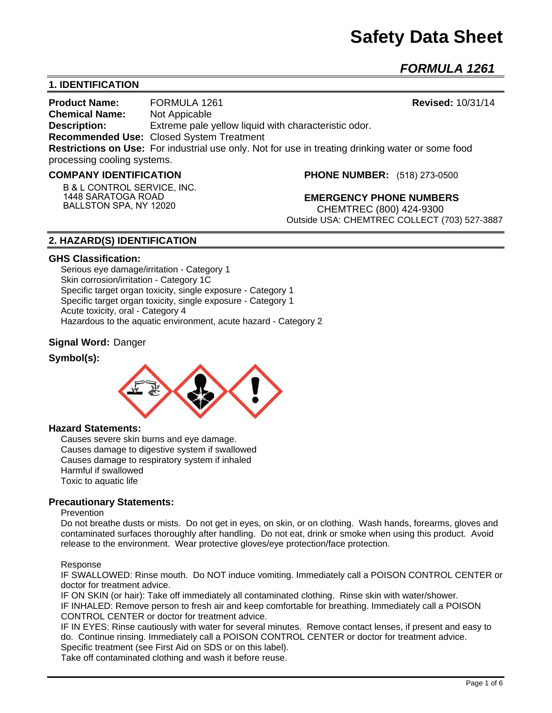# **Safety Data Sheet**

*FORMULA 1261* 

# **1. IDENTIFICATION**

**Product Name:** FORMULA 1261 **Revised:** 10/31/14 **Chemical Name:** Not Appicable **Description:** Extreme pale yellow liquid with characteristic odor. **Recommended Use:** Closed System Treatment **Restrictions on Use:** For industrial use only. Not for use in treating drinking water or some food processing cooling systems.

#### **COMPANY IDENTIFICATION**

**B & L CONTROL SERVICE, INC. 1448 SARATOGA ROAD BALLSTON SPA, NY 12020**

**PHONE NUMBER:** (518) 273-0500

**EMERGENCY PHONE NUMBERS** CHEMTREC (800) 424-9300 Outside USA: CHEMTREC COLLECT (703) 527-3887

# **2. HAZARD(S) IDENTIFICATION**

#### **GHS Classification:**

Serious eye damage/irritation - Category 1 Skin corrosion/irritation - Category 1C Specific target organ toxicity, single exposure - Category 1 Specific target organ toxicity, single exposure - Category 1 Acute toxicity, oral - Category 4 Hazardous to the aquatic environment, acute hazard - Category 2

### **Signal Word:** Danger

### **Symbol(s):**



### **Hazard Statements:**

Causes severe skin burns and eye damage. Causes damage to digestive system if swallowed Causes damage to respiratory system if inhaled Harmful if swallowed Toxic to aquatic life

### **Precautionary Statements:**

#### Prevention

Do not breathe dusts or mists. Do not get in eyes, on skin, or on clothing. Wash hands, forearms, gloves and contaminated surfaces thoroughly after handling. Do not eat, drink or smoke when using this product. Avoid release to the environment. Wear protective gloves/eye protection/face protection.

#### Response

IF SWALLOWED: Rinse mouth. Do NOT induce vomiting. Immediately call a POISON CONTROL CENTER or doctor for treatment advice.

IF ON SKIN (or hair): Take off immediately all contaminated clothing. Rinse skin with water/shower. IF INHALED: Remove person to fresh air and keep comfortable for breathing. Immediately call a POISON CONTROL CENTER or doctor for treatment advice.

IF IN EYES: Rinse cautiously with water for several minutes. Remove contact lenses, if present and easy to do. Continue rinsing. Immediately call a POISON CONTROL CENTER or doctor for treatment advice. Specific treatment (see First Aid on SDS or on this label).

Take off contaminated clothing and wash it before reuse.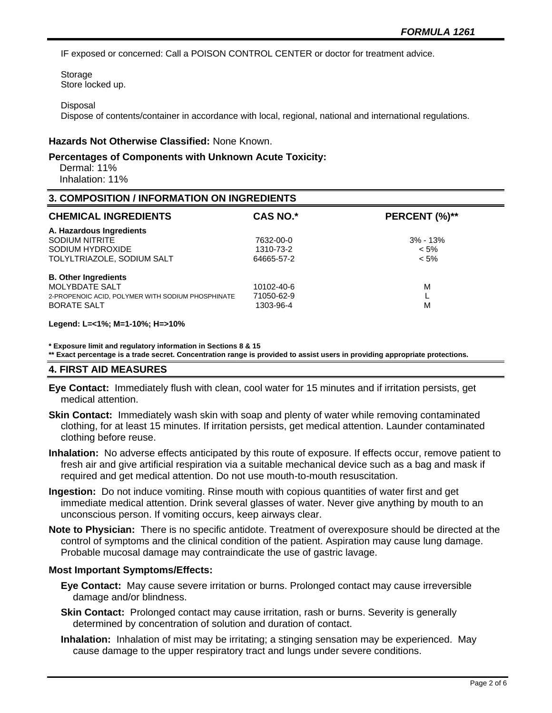IF exposed or concerned: Call a POISON CONTROL CENTER or doctor for treatment advice.

Storage Store locked up.

#### **Disposal**

Dispose of contents/container in accordance with local, regional, national and international regulations.

#### **Hazards Not Otherwise Classified:** None Known.

#### **Percentages of Components with Unknown Acute Toxicity:**

 Dermal: 11% Inhalation: 11%

#### **3. COMPOSITION / INFORMATION ON INGREDIENTS**

| <b>CHEMICAL INGREDIENTS</b>                       | <b>CAS NO.*</b> | PERCENT (%)** |
|---------------------------------------------------|-----------------|---------------|
| A. Hazardous Ingredients                          |                 |               |
| SODIUM NITRITE                                    | 7632-00-0       | $3\% - 13\%$  |
| SODIUM HYDROXIDE                                  | 1310-73-2       | $< 5\%$       |
| TOLYLTRIAZOLE, SODIUM SALT                        | 64665-57-2      | $< 5\%$       |
| <b>B. Other Ingredients</b>                       |                 |               |
| <b>MOLYBDATE SALT</b>                             | 10102-40-6      | M             |
| 2-PROPENOIC ACID, POLYMER WITH SODIUM PHOSPHINATE | 71050-62-9      |               |
| <b>BORATE SALT</b>                                | 1303-96-4       | M             |

#### **Legend: L=<1%; M=1-10%; H=>10%**

**\* Exposure limit and regulatory information in Sections 8 & 15**

**\*\* Exact percentage is a trade secret. Concentration range is provided to assist users in providing appropriate protections.**

#### **4. FIRST AID MEASURES**

- **Eye Contact:** Immediately flush with clean, cool water for 15 minutes and if irritation persists, get medical attention.
- **Skin Contact:** Immediately wash skin with soap and plenty of water while removing contaminated clothing, for at least 15 minutes. If irritation persists, get medical attention. Launder contaminated clothing before reuse.
- **Inhalation:** No adverse effects anticipated by this route of exposure. If effects occur, remove patient to fresh air and give artificial respiration via a suitable mechanical device such as a bag and mask if required and get medical attention. Do not use mouth-to-mouth resuscitation.
- **Ingestion:** Do not induce vomiting. Rinse mouth with copious quantities of water first and get immediate medical attention. Drink several glasses of water. Never give anything by mouth to an unconscious person. If vomiting occurs, keep airways clear.
- **Note to Physician:** There is no specific antidote. Treatment of overexposure should be directed at the control of symptoms and the clinical condition of the patient. Aspiration may cause lung damage. Probable mucosal damage may contraindicate the use of gastric lavage.

#### **Most Important Symptoms/Effects:**

- **Eye Contact:** May cause severe irritation or burns. Prolonged contact may cause irreversible damage and/or blindness.
- **Skin Contact:** Prolonged contact may cause irritation, rash or burns. Severity is generally determined by concentration of solution and duration of contact.
- **Inhalation:** Inhalation of mist may be irritating; a stinging sensation may be experienced. May cause damage to the upper respiratory tract and lungs under severe conditions.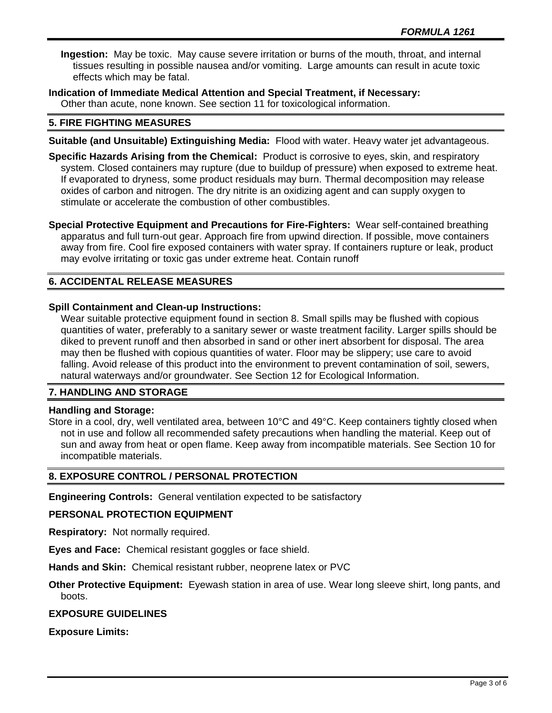**Ingestion:** May be toxic. May cause severe irritation or burns of the mouth, throat, and internal tissues resulting in possible nausea and/or vomiting. Large amounts can result in acute toxic effects which may be fatal.

**Indication of Immediate Medical Attention and Special Treatment, if Necessary:** Other than acute, none known. See section 11 for toxicological information.

## **5. FIRE FIGHTING MEASURES**

- **Suitable (and Unsuitable) Extinguishing Media:** Flood with water. Heavy water jet advantageous.
- **Specific Hazards Arising from the Chemical:** Product is corrosive to eyes, skin, and respiratory system. Closed containers may rupture (due to buildup of pressure) when exposed to extreme heat. If evaporated to dryness, some product residuals may burn. Thermal decomposition may release oxides of carbon and nitrogen. The dry nitrite is an oxidizing agent and can supply oxygen to stimulate or accelerate the combustion of other combustibles.

**Special Protective Equipment and Precautions for Fire-Fighters:** Wear self-contained breathing apparatus and full turn-out gear. Approach fire from upwind direction. If possible, move containers away from fire. Cool fire exposed containers with water spray. If containers rupture or leak, product may evolve irritating or toxic gas under extreme heat. Contain runoff

# **6. ACCIDENTAL RELEASE MEASURES**

## **Spill Containment and Clean-up Instructions:**

Wear suitable protective equipment found in section 8. Small spills may be flushed with copious quantities of water, preferably to a sanitary sewer or waste treatment facility. Larger spills should be diked to prevent runoff and then absorbed in sand or other inert absorbent for disposal. The area may then be flushed with copious quantities of water. Floor may be slippery; use care to avoid falling. Avoid release of this product into the environment to prevent contamination of soil, sewers, natural waterways and/or groundwater. See Section 12 for Ecological Information.

### **7. HANDLING AND STORAGE**

#### **Handling and Storage:**

Store in a cool, dry, well ventilated area, between 10°C and 49°C. Keep containers tightly closed when not in use and follow all recommended safety precautions when handling the material. Keep out of sun and away from heat or open flame. Keep away from incompatible materials. See Section 10 for incompatible materials.

## **8. EXPOSURE CONTROL / PERSONAL PROTECTION**

**Engineering Controls:** General ventilation expected to be satisfactory

#### **PERSONAL PROTECTION EQUIPMENT**

**Respiratory:** Not normally required.

**Eyes and Face:** Chemical resistant goggles or face shield.

**Hands and Skin:** Chemical resistant rubber, neoprene latex or PVC

**Other Protective Equipment:** Eyewash station in area of use. Wear long sleeve shirt, long pants, and boots.

# **EXPOSURE GUIDELINES**

**Exposure Limits:**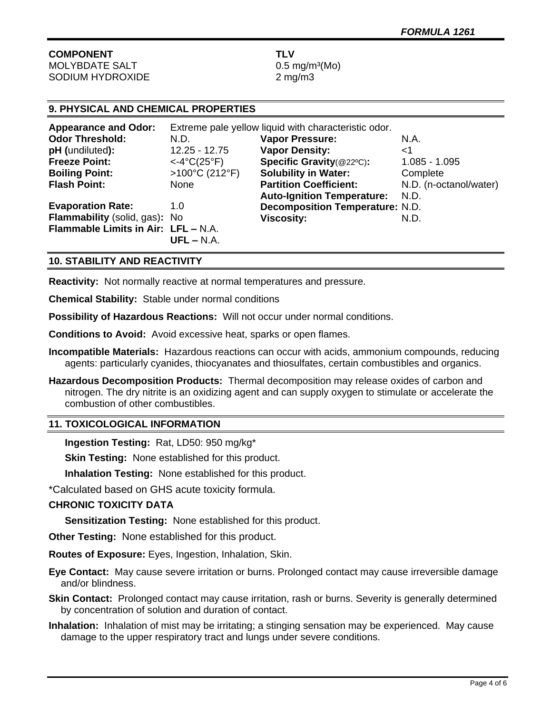# **COMPONENT TLV** MOLYBDATE SALT 0.5 mg/m<sup>3</sup>(Mo)

SODIUM HYDROXIDE 2 mg/m3

# **9. PHYSICAL AND CHEMICAL PROPERTIES**

| <b>Appearance and Odor:</b>         | Extreme pale yellow liquid with characteristic odor. |                                        |                        |
|-------------------------------------|------------------------------------------------------|----------------------------------------|------------------------|
| <b>Odor Threshold:</b>              | N.D.                                                 | <b>Vapor Pressure:</b>                 | N.A.                   |
| pH (undiluted):                     | $12.25 - 12.75$                                      | <b>Vapor Density:</b>                  | ا>                     |
| <b>Freeze Point:</b>                | $<-4°C(25°F)$                                        | Specific Gravity(@22°C):               | $1.085 - 1.095$        |
| <b>Boiling Point:</b>               | $>100^{\circ}$ C (212°F)                             | <b>Solubility in Water:</b>            | Complete               |
| <b>Flash Point:</b>                 | <b>None</b>                                          | <b>Partition Coefficient:</b>          | N.D. (n-octanol/water) |
|                                     |                                                      | <b>Auto-Ignition Temperature:</b>      | N.D.                   |
| <b>Evaporation Rate:</b>            | 1.0                                                  | <b>Decomposition Temperature: N.D.</b> |                        |
| Flammability (solid, gas): No       |                                                      | <b>Viscosity:</b>                      | N.D.                   |
| Flammable Limits in Air: LFL - N.A. | $UFL - N.A.$                                         |                                        |                        |
|                                     |                                                      |                                        |                        |

# **10. STABILITY AND REACTIVITY**

**Reactivity:** Not normally reactive at normal temperatures and pressure.

**Chemical Stability:** Stable under normal conditions

**Possibility of Hazardous Reactions:** Will not occur under normal conditions.

**Conditions to Avoid:** Avoid excessive heat, sparks or open flames.

- **Incompatible Materials:** Hazardous reactions can occur with acids, ammonium compounds, reducing agents: particularly cyanides, thiocyanates and thiosulfates, certain combustibles and organics.
- **Hazardous Decomposition Products:** Thermal decomposition may release oxides of carbon and nitrogen. The dry nitrite is an oxidizing agent and can supply oxygen to stimulate or accelerate the combustion of other combustibles.

### **11. TOXICOLOGICAL INFORMATION**

**Ingestion Testing:** Rat, LD50: 950 mg/kg\*

**Skin Testing: None established for this product.** 

**Inhalation Testing:** None established for this product.

\*Calculated based on GHS acute toxicity formula.

### **CHRONIC TOXICITY DATA**

**Sensitization Testing:** None established for this product.

**Other Testing:** None established for this product.

**Routes of Exposure:** Eyes, Ingestion, Inhalation, Skin.

**Eye Contact:** May cause severe irritation or burns. Prolonged contact may cause irreversible damage and/or blindness.

**Skin Contact:** Prolonged contact may cause irritation, rash or burns. Severity is generally determined by concentration of solution and duration of contact.

**Inhalation:** Inhalation of mist may be irritating; a stinging sensation may be experienced. May cause damage to the upper respiratory tract and lungs under severe conditions.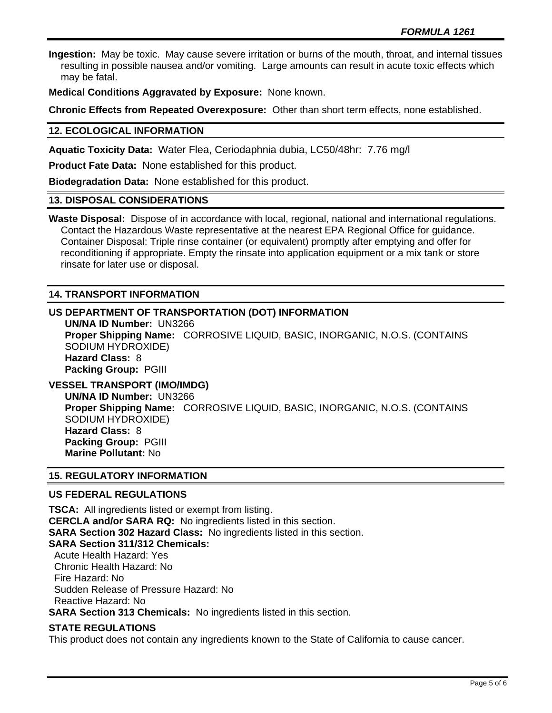**Ingestion:** May be toxic. May cause severe irritation or burns of the mouth, throat, and internal tissues resulting in possible nausea and/or vomiting. Large amounts can result in acute toxic effects which may be fatal.

**Medical Conditions Aggravated by Exposure:** None known.

**Chronic Effects from Repeated Overexposure:** Other than short term effects, none established.

# **12. ECOLOGICAL INFORMATION**

**Aquatic Toxicity Data:** Water Flea, Ceriodaphnia dubia, LC50/48hr: 7.76 mg/l

**Product Fate Data:** None established for this product.

**Biodegradation Data:** None established for this product.

### **13. DISPOSAL CONSIDERATIONS**

**Waste Disposal:** Dispose of in accordance with local, regional, national and international regulations. Contact the Hazardous Waste representative at the nearest EPA Regional Office for guidance. Container Disposal: Triple rinse container (or equivalent) promptly after emptying and offer for reconditioning if appropriate. Empty the rinsate into application equipment or a mix tank or store rinsate for later use or disposal.

# **14. TRANSPORT INFORMATION**

# **US DEPARTMENT OF TRANSPORTATION (DOT) INFORMATION**

**UN/NA ID Number:** UN3266 **Proper Shipping Name:** CORROSIVE LIQUID, BASIC, INORGANIC, N.O.S. (CONTAINS SODIUM HYDROXIDE) **Hazard Class:** 8 **Packing Group:** PGIII

# **VESSEL TRANSPORT (IMO/IMDG)**

**UN/NA ID Number:** UN3266 **Proper Shipping Name:** CORROSIVE LIQUID, BASIC, INORGANIC, N.O.S. (CONTAINS SODIUM HYDROXIDE) **Hazard Class:** 8 **Packing Group:** PGIII **Marine Pollutant:** No

## **15. REGULATORY INFORMATION**

### **US FEDERAL REGULATIONS**

**TSCA:** All ingredients listed or exempt from listing. **CERCLA and/or SARA RQ:** No ingredients listed in this section. **SARA Section 302 Hazard Class:** No ingredients listed in this section. **SARA Section 311/312 Chemicals:**  Acute Health Hazard: Yes Chronic Health Hazard: No Fire Hazard: No Sudden Release of Pressure Hazard: No Reactive Hazard: No **SARA Section 313 Chemicals:** No ingredients listed in this section.

### **STATE REGULATIONS**

This product does not contain any ingredients known to the State of California to cause cancer.